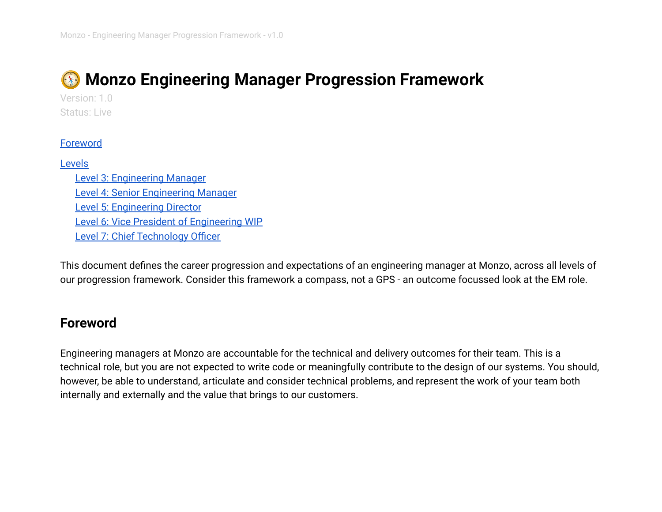# **Monzo Engineering Manager Progression Framework**

Version: 1.0 Status: Live

#### **[Foreword](#page-0-0)**

#### [Levels](#page-2-0)

[Level 3: Engineering Manager](#page-2-1) [Level 4: Senior Engineering Manager](#page-4-0) [Level 5: Engineering Director](#page-6-0) [Level 6: Vice President of Engineering WIP](#page-8-0) [Level 7: Chief Technology Officer](#page-9-0)

This document defines the career progression and expectations of an engineering manager at Monzo, across all levels of our progression framework. Consider this framework a compass, not a GPS - an outcome focussed look at the EM role.

### <span id="page-0-0"></span>**Foreword**

Engineering managers at Monzo are accountable for the technical and delivery outcomes for their team. This is a technical role, but you are not expected to write code or meaningfully contribute to the design of our systems. You should, however, be able to understand, articulate and consider technical problems, and represent the work of your team both internally and externally and the value that brings to our customers.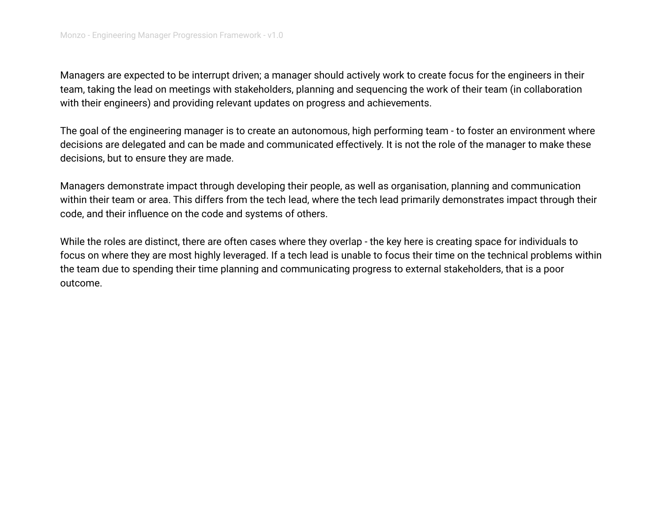Managers are expected to be interrupt driven; a manager should actively work to create focus for the engineers in their team, taking the lead on meetings with stakeholders, planning and sequencing the work of their team (in collaboration with their engineers) and providing relevant updates on progress and achievements.

The goal of the engineering manager is to create an autonomous, high performing team - to foster an environment where decisions are delegated and can be made and communicated effectively. It is not the role of the manager to make these decisions, but to ensure they are made.

Managers demonstrate impact through developing their people, as well as organisation, planning and communication within their team or area. This differs from the tech lead, where the tech lead primarily demonstrates impact through their code, and their influence on the code and systems of others.

While the roles are distinct, there are often cases where they overlap - the key here is creating space for individuals to focus on where they are most highly leveraged. If a tech lead is unable to focus their time on the technical problems within the team due to spending their time planning and communicating progress to external stakeholders, that is a poor outcome.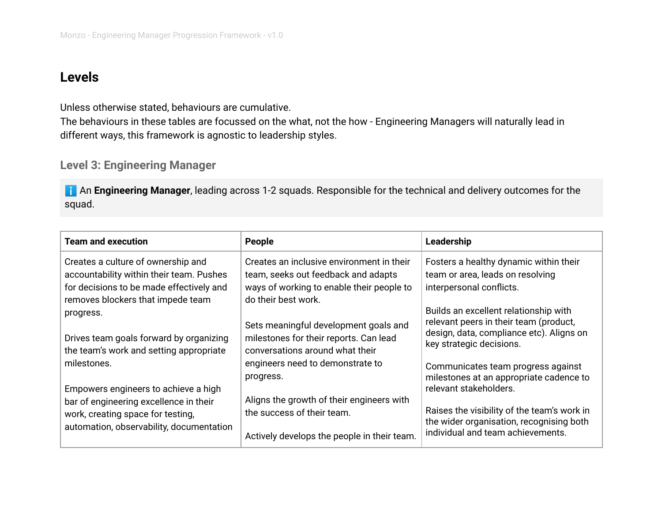## <span id="page-2-0"></span>**Levels**

Unless otherwise stated, behaviours are cumulative.

The behaviours in these tables are focussed on the what, not the how - Engineering Managers will naturally lead in different ways, this framework is agnostic to leadership styles.

#### <span id="page-2-1"></span>**Level 3: Engineering Manager**

**I** An Engineering Manager, leading across 1-2 squads. Responsible for the technical and delivery outcomes for the squad.

| <b>Team and execution</b>                                                                                                                                       | People                                                                                                                                               | Leadership                                                                                                                                              |
|-----------------------------------------------------------------------------------------------------------------------------------------------------------------|------------------------------------------------------------------------------------------------------------------------------------------------------|---------------------------------------------------------------------------------------------------------------------------------------------------------|
| Creates a culture of ownership and<br>accountability within their team. Pushes<br>for decisions to be made effectively and<br>removes blockers that impede team | Creates an inclusive environment in their<br>team, seeks out feedback and adapts<br>ways of working to enable their people to<br>do their best work. | Fosters a healthy dynamic within their<br>team or area, leads on resolving<br>interpersonal conflicts.                                                  |
| progress.<br>Drives team goals forward by organizing<br>the team's work and setting appropriate                                                                 | Sets meaningful development goals and<br>milestones for their reports. Can lead<br>conversations around what their                                   | Builds an excellent relationship with<br>relevant peers in their team (product,<br>design, data, compliance etc). Aligns on<br>key strategic decisions. |
| milestones.<br>Empowers engineers to achieve a high                                                                                                             | engineers need to demonstrate to<br>progress.                                                                                                        | Communicates team progress against<br>milestones at an appropriate cadence to<br>relevant stakeholders.                                                 |
| bar of engineering excellence in their<br>work, creating space for testing,<br>automation, observability, documentation                                         | Aligns the growth of their engineers with<br>the success of their team.<br>Actively develops the people in their team.                               | Raises the visibility of the team's work in<br>the wider organisation, recognising both<br>individual and team achievements.                            |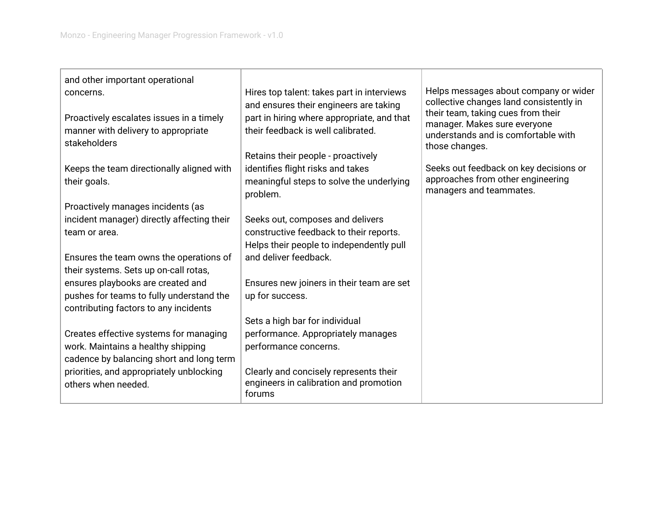| and other important operational<br>concerns.<br>Proactively escalates issues in a timely<br>manner with delivery to appropriate<br>stakeholders | Hires top talent: takes part in interviews<br>and ensures their engineers are taking<br>part in hiring where appropriate, and that<br>their feedback is well calibrated. | Helps messages about company or wider<br>collective changes land consistently in<br>their team, taking cues from their<br>manager. Makes sure everyone<br>understands and is comfortable with<br>those changes. |
|-------------------------------------------------------------------------------------------------------------------------------------------------|--------------------------------------------------------------------------------------------------------------------------------------------------------------------------|-----------------------------------------------------------------------------------------------------------------------------------------------------------------------------------------------------------------|
| Keeps the team directionally aligned with                                                                                                       | Retains their people - proactively<br>identifies flight risks and takes                                                                                                  | Seeks out feedback on key decisions or                                                                                                                                                                          |
| their goals.                                                                                                                                    | meaningful steps to solve the underlying<br>problem.                                                                                                                     | approaches from other engineering<br>managers and teammates.                                                                                                                                                    |
| Proactively manages incidents (as                                                                                                               |                                                                                                                                                                          |                                                                                                                                                                                                                 |
| incident manager) directly affecting their                                                                                                      | Seeks out, composes and delivers                                                                                                                                         |                                                                                                                                                                                                                 |
| team or area.                                                                                                                                   | constructive feedback to their reports.                                                                                                                                  |                                                                                                                                                                                                                 |
|                                                                                                                                                 | Helps their people to independently pull                                                                                                                                 |                                                                                                                                                                                                                 |
| Ensures the team owns the operations of<br>their systems. Sets up on-call rotas,                                                                | and deliver feedback.                                                                                                                                                    |                                                                                                                                                                                                                 |
| ensures playbooks are created and                                                                                                               | Ensures new joiners in their team are set                                                                                                                                |                                                                                                                                                                                                                 |
| pushes for teams to fully understand the                                                                                                        | up for success.                                                                                                                                                          |                                                                                                                                                                                                                 |
| contributing factors to any incidents                                                                                                           |                                                                                                                                                                          |                                                                                                                                                                                                                 |
|                                                                                                                                                 | Sets a high bar for individual                                                                                                                                           |                                                                                                                                                                                                                 |
| Creates effective systems for managing                                                                                                          | performance. Appropriately manages                                                                                                                                       |                                                                                                                                                                                                                 |
| work. Maintains a healthy shipping<br>cadence by balancing short and long term                                                                  | performance concerns.                                                                                                                                                    |                                                                                                                                                                                                                 |
| priorities, and appropriately unblocking<br>others when needed.                                                                                 | Clearly and concisely represents their<br>engineers in calibration and promotion<br>forums                                                                               |                                                                                                                                                                                                                 |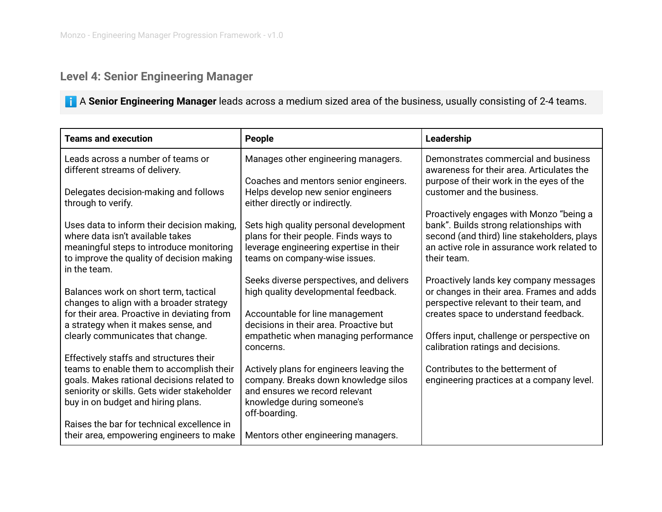## <span id="page-4-0"></span>**Level 4: Senior Engineering Manager**

ℹ️ A **Senior Engineering Manager** leads across a medium sized area of the business, usually consisting of 2-4 teams.

| <b>Teams and execution</b>                                                                                                                                                                                             | People                                                                                                                                                                                                | Leadership                                                                                                                                                                                                           |
|------------------------------------------------------------------------------------------------------------------------------------------------------------------------------------------------------------------------|-------------------------------------------------------------------------------------------------------------------------------------------------------------------------------------------------------|----------------------------------------------------------------------------------------------------------------------------------------------------------------------------------------------------------------------|
| Leads across a number of teams or<br>different streams of delivery.                                                                                                                                                    | Manages other engineering managers.                                                                                                                                                                   | Demonstrates commercial and business<br>awareness for their area. Articulates the                                                                                                                                    |
| Delegates decision-making and follows<br>through to verify.                                                                                                                                                            | Coaches and mentors senior engineers.<br>Helps develop new senior engineers<br>either directly or indirectly.                                                                                         | purpose of their work in the eyes of the<br>customer and the business.                                                                                                                                               |
| Uses data to inform their decision making,<br>where data isn't available takes<br>meaningful steps to introduce monitoring<br>to improve the quality of decision making<br>in the team.                                | Sets high quality personal development<br>plans for their people. Finds ways to<br>leverage engineering expertise in their<br>teams on company-wise issues.                                           | Proactively engages with Monzo "being a<br>bank". Builds strong relationships with<br>second (and third) line stakeholders, plays<br>an active role in assurance work related to<br>their team.                      |
| Balances work on short term, tactical<br>changes to align with a broader strategy<br>for their area. Proactive in deviating from<br>a strategy when it makes sense, and<br>clearly communicates that change.           | Seeks diverse perspectives, and delivers<br>high quality developmental feedback.<br>Accountable for line management<br>decisions in their area. Proactive but<br>empathetic when managing performance | Proactively lands key company messages<br>or changes in their area. Frames and adds<br>perspective relevant to their team, and<br>creates space to understand feedback.<br>Offers input, challenge or perspective on |
| Effectively staffs and structures their<br>teams to enable them to accomplish their<br>goals. Makes rational decisions related to<br>seniority or skills. Gets wider stakeholder<br>buy in on budget and hiring plans. | concerns.<br>Actively plans for engineers leaving the<br>company. Breaks down knowledge silos<br>and ensures we record relevant<br>knowledge during someone's                                         | calibration ratings and decisions.<br>Contributes to the betterment of<br>engineering practices at a company level.                                                                                                  |
| Raises the bar for technical excellence in<br>their area, empowering engineers to make                                                                                                                                 | off-boarding.<br>Mentors other engineering managers.                                                                                                                                                  |                                                                                                                                                                                                                      |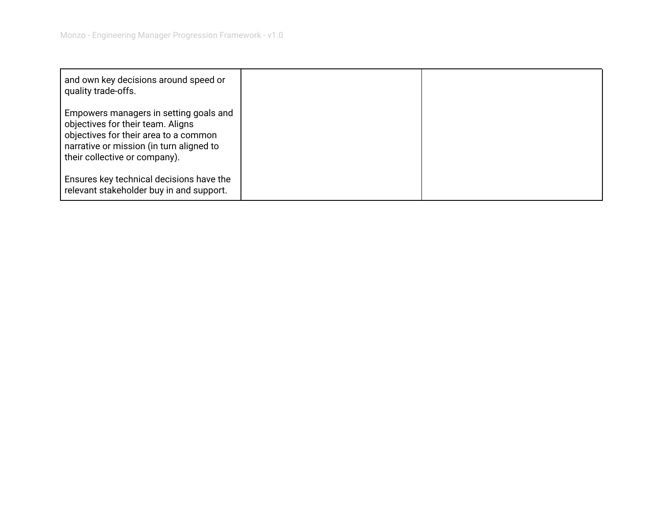| and own key decisions around speed or<br>quality trade-offs.                                                                                                                                      |  |
|---------------------------------------------------------------------------------------------------------------------------------------------------------------------------------------------------|--|
| Empowers managers in setting goals and<br>objectives for their team. Aligns<br>objectives for their area to a common<br>narrative or mission (in turn aligned to<br>their collective or company). |  |
| Ensures key technical decisions have the<br>relevant stakeholder buy in and support.                                                                                                              |  |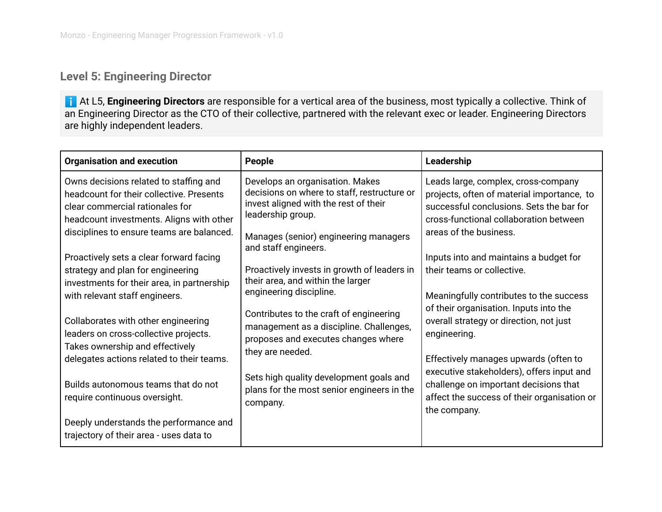### <span id="page-6-0"></span>**Level 5: Engineering Director**

**i** At L5, Engineering Directors are responsible for a vertical area of the business, most typically a collective. Think of an Engineering Director as the CTO of their collective, partnered with the relevant exec or leader. Engineering Directors are highly independent leaders.

| <b>Organisation and execution</b>                                                                                                                                                                                                                                                                                                                                                                                                                                                         | People                                                                                                                                                                                                                                                                                                                                                                                    | Leadership                                                                                                                                                                                                                                                                                                                                                                                                         |
|-------------------------------------------------------------------------------------------------------------------------------------------------------------------------------------------------------------------------------------------------------------------------------------------------------------------------------------------------------------------------------------------------------------------------------------------------------------------------------------------|-------------------------------------------------------------------------------------------------------------------------------------------------------------------------------------------------------------------------------------------------------------------------------------------------------------------------------------------------------------------------------------------|--------------------------------------------------------------------------------------------------------------------------------------------------------------------------------------------------------------------------------------------------------------------------------------------------------------------------------------------------------------------------------------------------------------------|
| Owns decisions related to staffing and<br>headcount for their collective. Presents<br>clear commercial rationales for<br>headcount investments. Aligns with other<br>disciplines to ensure teams are balanced.                                                                                                                                                                                                                                                                            | Develops an organisation. Makes<br>decisions on where to staff, restructure or<br>invest aligned with the rest of their<br>leadership group.<br>Manages (senior) engineering managers                                                                                                                                                                                                     | Leads large, complex, cross-company<br>projects, often of material importance, to<br>successful conclusions. Sets the bar for<br>cross-functional collaboration between<br>areas of the business.                                                                                                                                                                                                                  |
| Proactively sets a clear forward facing<br>strategy and plan for engineering<br>investments for their area, in partnership<br>with relevant staff engineers.<br>Collaborates with other engineering<br>leaders on cross-collective projects.<br>Takes ownership and effectively<br>delegates actions related to their teams.<br>Builds autonomous teams that do not<br>require continuous oversight.<br>Deeply understands the performance and<br>trajectory of their area - uses data to | and staff engineers.<br>Proactively invests in growth of leaders in<br>their area, and within the larger<br>engineering discipline.<br>Contributes to the craft of engineering<br>management as a discipline. Challenges,<br>proposes and executes changes where<br>they are needed.<br>Sets high quality development goals and<br>plans for the most senior engineers in the<br>company. | Inputs into and maintains a budget for<br>their teams or collective.<br>Meaningfully contributes to the success<br>of their organisation. Inputs into the<br>overall strategy or direction, not just<br>engineering.<br>Effectively manages upwards (often to<br>executive stakeholders), offers input and<br>challenge on important decisions that<br>affect the success of their organisation or<br>the company. |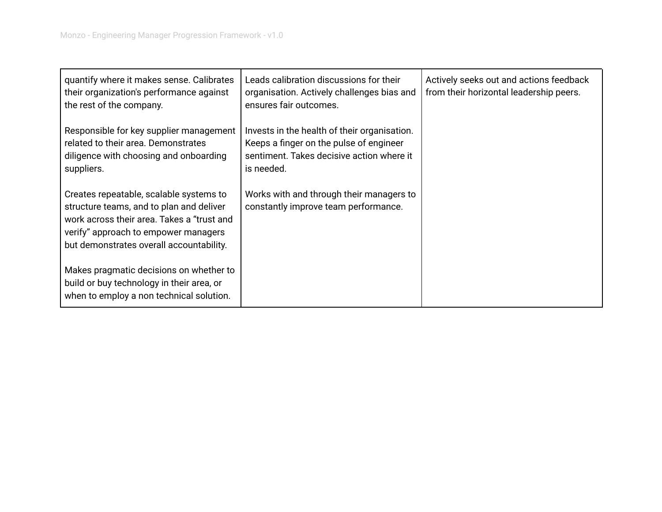| quantify where it makes sense. Calibrates<br>their organization's performance against<br>the rest of the company.                                                                                                     | Leads calibration discussions for their<br>organisation. Actively challenges bias and<br>ensures fair outcomes.                                    | Actively seeks out and actions feedback<br>from their horizontal leadership peers. |
|-----------------------------------------------------------------------------------------------------------------------------------------------------------------------------------------------------------------------|----------------------------------------------------------------------------------------------------------------------------------------------------|------------------------------------------------------------------------------------|
| Responsible for key supplier management<br>related to their area. Demonstrates<br>diligence with choosing and onboarding<br>suppliers.                                                                                | Invests in the health of their organisation.<br>Keeps a finger on the pulse of engineer<br>sentiment. Takes decisive action where it<br>is needed. |                                                                                    |
| Creates repeatable, scalable systems to<br>structure teams, and to plan and deliver<br>work across their area. Takes a "trust and<br>verify" approach to empower managers<br>but demonstrates overall accountability. | Works with and through their managers to<br>constantly improve team performance.                                                                   |                                                                                    |
| Makes pragmatic decisions on whether to<br>build or buy technology in their area, or<br>when to employ a non technical solution.                                                                                      |                                                                                                                                                    |                                                                                    |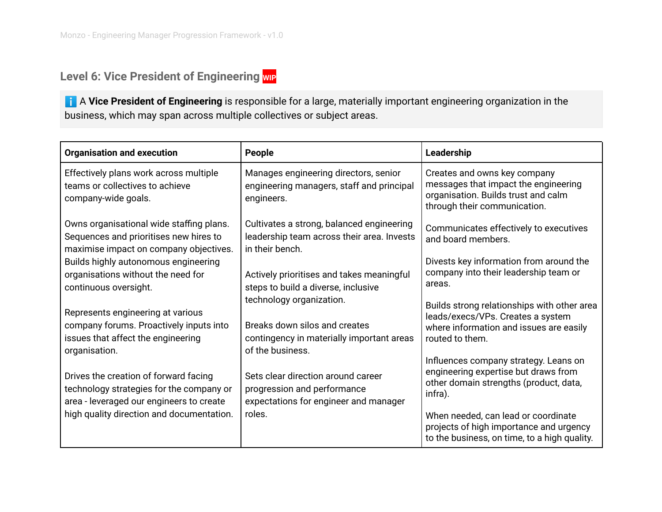## <span id="page-8-0"></span>**Level 6: Vice President of Engineering WIP**

**i** A Vice President of Engineering is responsible for a large, materially important engineering organization in the business, which may span across multiple collectives or subject areas.

| <b>Organisation and execution</b>                                                                                                                                    | People                                                                                                                         | Leadership                                                                                                                                     |
|----------------------------------------------------------------------------------------------------------------------------------------------------------------------|--------------------------------------------------------------------------------------------------------------------------------|------------------------------------------------------------------------------------------------------------------------------------------------|
| Effectively plans work across multiple<br>teams or collectives to achieve<br>company-wide goals.                                                                     | Manages engineering directors, senior<br>engineering managers, staff and principal<br>engineers.                               | Creates and owns key company<br>messages that impact the engineering<br>organisation. Builds trust and calm<br>through their communication.    |
| Owns organisational wide staffing plans.<br>Sequences and prioritises new hires to<br>maximise impact on company objectives.<br>Builds highly autonomous engineering | Cultivates a strong, balanced engineering<br>leadership team across their area. Invests<br>in their bench.                     | Communicates effectively to executives<br>and board members.<br>Divests key information from around the                                        |
| organisations without the need for<br>continuous oversight.                                                                                                          | Actively prioritises and takes meaningful<br>steps to build a diverse, inclusive<br>technology organization.                   | company into their leadership team or<br>areas.                                                                                                |
| Represents engineering at various<br>company forums. Proactively inputs into<br>issues that affect the engineering                                                   | Breaks down silos and creates<br>contingency in materially important areas                                                     | Builds strong relationships with other area<br>leads/execs/VPs. Creates a system<br>where information and issues are easily<br>routed to them. |
| organisation.<br>Drives the creation of forward facing<br>technology strategies for the company or<br>area - leveraged our engineers to create                       | of the business.<br>Sets clear direction around career<br>progression and performance<br>expectations for engineer and manager | Influences company strategy. Leans on<br>engineering expertise but draws from<br>other domain strengths (product, data,<br>infra).             |
| high quality direction and documentation.                                                                                                                            | roles.                                                                                                                         | When needed, can lead or coordinate<br>projects of high importance and urgency<br>to the business, on time, to a high quality.                 |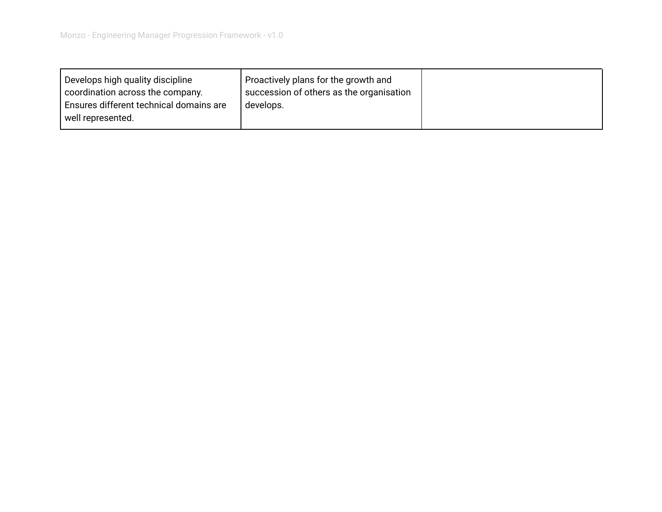<span id="page-9-0"></span>

| Develops high quality discipline        | Proactively plans for the growth and     |  |
|-----------------------------------------|------------------------------------------|--|
| coordination across the company.        | succession of others as the organisation |  |
| Ensures different technical domains are | develops.                                |  |
| well represented.                       |                                          |  |